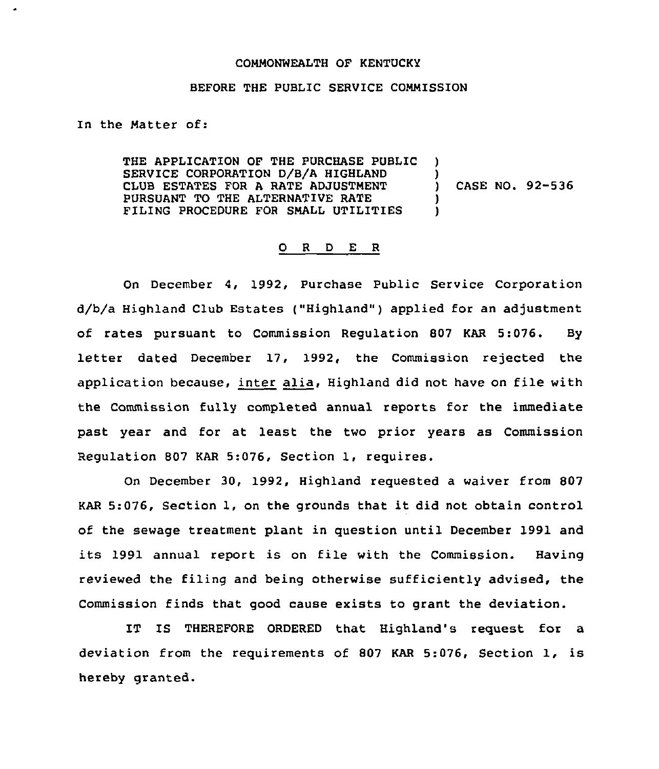## COMMONWEALTH OF KENTUCKY

## BEFORE THE PUBLIC SERVICE COMMISSION

In the Matter of:

THE APPLICATION OF THE PURCHASE PUBLIC SERVICE CORPORATION D/8/A HIGHLAND CLUB ESTATES FOR A RATE ADJUSTMENT PURSUANT TO THE ALTERNATIVE RATE FILING PROCEDURE FOR SMALL UTILITIES ) )<br>) ) CASE NO. 92-536 ) )

## 0 <sup>R</sup> <sup>D</sup> E <sup>R</sup>

On December 4, 1992, Purchase Public Service Corporation d/b/a Highland Club Estates ("Highland" ) applied for an adjustment of rates pursuant to Commission Regulation 807 KAR 5:076. By letter dated December 17, 1992, the Commission rejected the application because, inter alia, Highland did not have on file with the Commission fully completed annual reports for the immediate past year and for at least the two prior years as Commission Regulation 807 KAR 5:076, Section 1, requires.

On December 30, 1992, Highland requested a waiver from 807 KAR 5:076, Section 1, on the grounds that it did not obtain control of the sewage treatment plant in question until December 1991 and its 1991 annual report is on file with the Commission. Having reviewed the filing and being otherwise sufficiently advised, the Commission finds that good cause exists to grant the deviation.

IT IS THEREFORE ORDERED that Highland's request for a deviation from the requirements of <sup>807</sup> KAR 5:076, Section 1, is hereby granted.